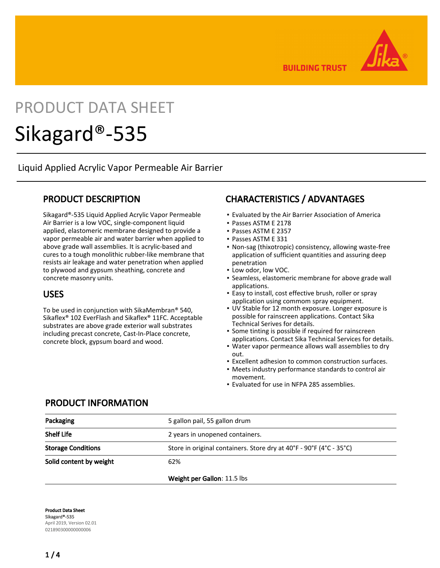**BUILDING TRUST** 

# PRODUCT DATA SHEET

# Sikagard®-535

Liquid Applied Acrylic Vapor Permeable Air Barrier

### PRODUCT DESCRIPTION

Sikagard®-535 Liquid Applied Acrylic Vapor Permeable Air Barrier is a low VOC, single-component liquid applied, elastomeric membrane designed to provide a vapor permeable air and water barrier when applied to above grade wall assemblies. It is acrylic-based and cures to a tough monolithic rubber-like membrane that resists air leakage and water penetration when applied to plywood and gypsum sheathing, concrete and concrete masonry units.

#### USES

To be used in conjunction with SikaMembran® 540, Sikaflex® 102 EverFlash and Sikaflex® 11FC. Acceptable substrates are above grade exterior wall substrates including precast concrete, Cast-In-Place concrete, concrete block, gypsum board and wood.

## CHARACTERISTICS / ADVANTAGES

- Evaluated by the Air Barrier Association of America
- Passes ASTM E 2178
- Passes ASTM E 2357
- Passes ASTM E 331
- Non-sag (thixotropic) consistency, allowing waste-free application of sufficient quantities and assuring deep penetration
- Low odor, low VOC.
- Seamless, elastomeric membrane for above grade wall applications.
- Easy to install, cost effective brush, roller or spray application using commom spray equipment.
- **UV Stable for 12 month exposure. Longer exposure is** possible for rainscreen applications. Contact Sika Technical Serives for details.
- Some tinting is possible if required for rainscreen applications. Contact Sika Technical Services for details.
- Water vapor permeance allows wall assemblies to dry out.
- Excellent adhesion to common construction surfaces.
- Meets industry performance standards to control air movement.
- Evaluated for use in NFPA 285 assemblies.

#### PRODUCT INFORMATION

| Packaging                 | 5 gallon pail, 55 gallon drum                                       |  |
|---------------------------|---------------------------------------------------------------------|--|
| <b>Shelf Life</b>         | 2 years in unopened containers.                                     |  |
| <b>Storage Conditions</b> | Store in original containers. Store dry at 40°F - 90°F (4°C - 35°C) |  |
| Solid content by weight   | 62%                                                                 |  |
|                           | Weight per Gallon: 11.5 lbs                                         |  |

Product Data Sheet Sikagard®-535 April 2019, Version 02.01 021890300000000006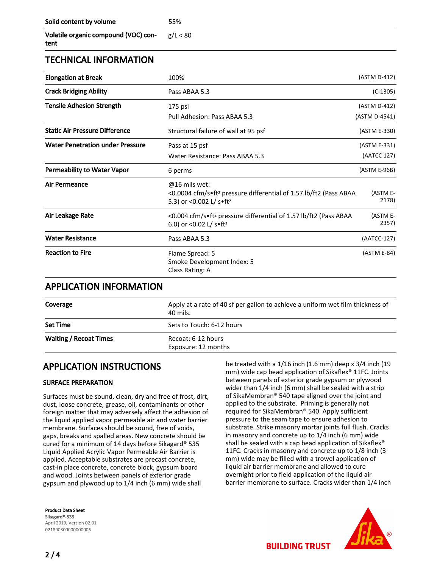| Solid content by volume | 55% |
|-------------------------|-----|
|-------------------------|-----|

| Volatile organic compound (VOC) con- |  |
|--------------------------------------|--|
| tent                                 |  |

### TECHNICAL INFORMATION

| <b>Elongation at Break</b>              | 100%                                                                                                                                    | (ASTM D-412)      |
|-----------------------------------------|-----------------------------------------------------------------------------------------------------------------------------------------|-------------------|
| <b>Crack Bridging Ability</b>           | Pass ABAA 5.3                                                                                                                           | $(C-1305)$        |
| <b>Tensile Adhesion Strength</b>        | 175 psi                                                                                                                                 | (ASTM D-412)      |
|                                         | Pull Adhesion: Pass ABAA 5.3                                                                                                            | (ASTM D-4541)     |
| <b>Static Air Pressure Difference</b>   | Structural failure of wall at 95 psf                                                                                                    | (ASTM E-330)      |
| <b>Water Penetration under Pressure</b> | Pass at 15 psf                                                                                                                          | (ASTM E-331)      |
|                                         | Water Resistance: Pass ABAA 5.3                                                                                                         | (AATCC 127)       |
| <b>Permeability to Water Vapor</b>      | 6 perms                                                                                                                                 | (ASTM E-96B)      |
| <b>Air Permeance</b>                    | $@16$ mils wet:<br><0.0004 cfm/s•ft <sup>2</sup> pressure differential of 1.57 lb/ft2 (Pass ABAA<br>5.3) or <0.002 L/ s.ft <sup>2</sup> | (ASTM E-<br>2178) |
| Air Leakage Rate                        | <0.004 cfm/s•ft <sup>2</sup> pressure differential of 1.57 lb/ft2 (Pass ABAA<br>6.0) or <0.02 L/ $s$ .ft <sup>2</sup>                   | (ASTM E-<br>2357) |
| <b>Water Resistance</b>                 | Pass ABAA 5.3                                                                                                                           | (AATCC-127)       |
| <b>Reaction to Fire</b>                 | Flame Spread: 5<br>Smoke Development Index: 5<br>Class Rating: A                                                                        | (ASTM E-84)       |

 $80$ 

#### APPLICATION INFORMATION

| Coverage                      | Apply at a rate of 40 sf per gallon to achieve a uniform wet film thickness of<br>40 mils. |  |
|-------------------------------|--------------------------------------------------------------------------------------------|--|
| Set Time                      | Sets to Touch: 6-12 hours                                                                  |  |
| <b>Waiting / Recoat Times</b> | Recoat: 6-12 hours<br>Exposure: 12 months                                                  |  |

### APPLICATION INSTRUCTIONS

#### SURFACE PREPARATION

Surfaces must be sound, clean, dry and free of frost, dirt, dust, loose concrete, grease, oil, contaminants or other foreign matter that may adversely affect the adhesion of the liquid applied vapor permeable air and water barrier membrane. Surfaces should be sound, free of voids, gaps, breaks and spalled areas. New concrete should be cured for a minimum of 14 days before Sikagard® 535 Liquid Applied Acrylic Vapor Permeable Air Barrier is applied. Acceptable substrates are precast concrete, cast-in place concrete, concrete block, gypsum board and wood. Joints between panels of exterior grade gypsum and plywood up to 1/4 inch (6 mm) wide shall

Product Data Sheet Sikagard®-535 April 2019, Version 02.01 021890300000000006

be treated with a 1/16 inch (1.6 mm) deep x 3/4 inch (19 mm) wide cap bead application of Sikaflex® 11FC. Joints between panels of exterior grade gypsum or plywood wider than 1/4 inch (6 mm) shall be sealed with a strip of SikaMembran® 540 tape aligned over the joint and applied to the substrate. Priming is generally not required for SikaMembran® 540. Apply sufficient pressure to the seam tape to ensure adhesion to substrate. Strike masonry mortar joints full flush. Cracks in masonry and concrete up to 1/4 inch (6 mm) wide shall be sealed with a cap bead application of Sikaflex<sup>®</sup> 11FC. Cracks in masonry and concrete up to 1/8 inch (3 mm) wide may be filled with a trowel application of liquid air barrier membrane and allowed to cure overnight prior to field application of the liquid air barrier membrane to surface. Cracks wider than 1/4 inch



**BUILDING TRUST**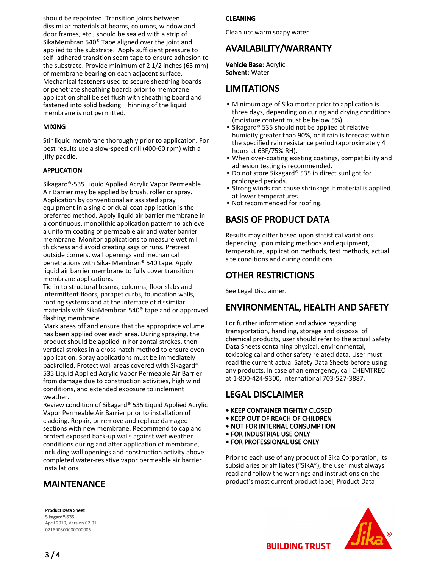should be repointed. Transition joints between dissimilar materials at beams, columns, window and door frames, etc., should be sealed with a strip of SikaMembran 540® Tape aligned over the joint and applied to the substrate. Apply sufficient pressure to self- adhered transition seam tape to ensure adhesion to the substrate. Provide minimum of 2 1/2 inches (63 mm) of membrane bearing on each adjacent surface. Mechanical fasteners used to secure sheathing boards or penetrate sheathing boards prior to membrane application shall be set flush with sheathing board and fastened into solid backing. Thinning of the liquid membrane is not permitted.

#### MIXING

Stir liquid membrane thoroughly prior to application. For best results use a slow-speed drill (400-60 rpm) with a jiffy paddle.

#### APPLICATION

Sikagard®-535 Liquid Applied Acrylic Vapor Permeable Air Barrier may be applied by brush, roller or spray. Application by conventional air assisted spray equipment in a single or dual-coat application is the preferred method. Apply liquid air barrier membrane in a continuous, monolithic application pattern to achieve a uniform coating of permeable air and water barrier membrane. Monitor applications to measure wet mil thickness and avoid creating sags or runs. Pretreat outside corners, wall openings and mechanical penetrations with Sika- Membran® 540 tape. Apply liquid air barrier membrane to fully cover transition membrane applications.

Tie-in to structural beams, columns, floor slabs and intermittent floors, parapet curbs, foundation walls, roofing systems and at the interface of dissimilar materials with SikaMembran 540® tape and or approved flashing membrane.

Mark areas off and ensure that the appropriate volume has been applied over each area. During spraying, the product should be applied in horizontal strokes, then vertical strokes in a cross-hatch method to ensure even application. Spray applications must be immediately backrolled. Protect wall areas covered with Sikagard® 535 Liquid Applied Acrylic Vapor Permeable Air Barrier from damage due to construction activities, high wind conditions, and extended exposure to inclement weather.

Review condition of Sikagard® 535 Liquid Applied Acrylic Vapor Permeable Air Barrier prior to installation of cladding. Repair, or remove and replace damaged sections with new membrane. Recommend to cap and protect exposed back-up walls against wet weather conditions during and after application of membrane, including wall openings and construction activity above completed water-resistive vapor permeable air barrier installations.

## MAINTENANCE

Product Data Sheet Sikagard®-535 April 2019, Version 02.01 021890300000000006

#### CLEANING

Clean up: warm soapy water

## AVAILABILITY/WARRANTY

Vehicle Base: Acrylic Solvent: Water

## LIMITATIONS

- Minimum age of Sika mortar prior to application is three days, depending on curing and drying conditions (moisture content must be below 5%)
- Sikagard® 535 should not be applied at relative humidity greater than 90%, or if rain is forecast within the specified rain resistance period (approximately 4 hours at 68F/75% RH).
- . When over-coating existing coatings, compatibility and adhesion testing is recommended.
- Do not store Sikagard® 535 in direct sunlight for prolonged periods. ▪
- Strong winds can cause shrinkage if material is applied at lower temperatures. ▪
- Not recommended for roofing.

## BASIS OF PRODUCT DATA

Results may differ based upon statistical variations depending upon mixing methods and equipment, temperature, application methods, test methods, actual site conditions and curing conditions.

## OTHER RESTRICTIONS

See Legal Disclaimer.

### ENVIRONMENTAL, HEALTH AND SAFETY

For further information and advice regarding transportation, handling, storage and disposal of chemical products, user should refer to the actual Safety Data Sheets containing physical, environmental, toxicological and other safety related data. User must read the current actual Safety Data Sheets before using any products. In case of an emergency, call CHEMTREC at 1-800-424-9300, International 703-527-3887.

## LEGAL DISCLAIMER

- KEEP CONTAINER TIGHTLY CLOSED
- KEEP OUT OF REACH OF CHILDREN
- NOT FOR INTERNAL CONSUMPTION
- FOR INDUSTRIAL USE ONLY
- FOR PROFESSIONAL USE ONLY

Prior to each use of any product of Sika Corporation, its subsidiaries or affiliates ("SIKA"), the user must always read and follow the warnings and instructions on the product's most current product label, Product Data

**BUILDING TRUST**